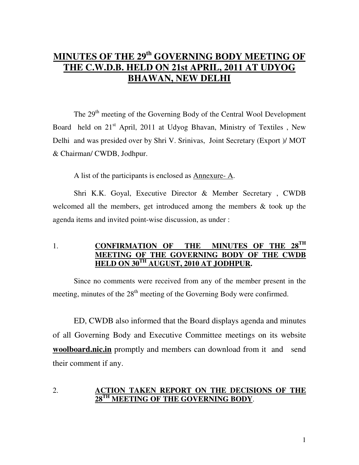# **MINUTES OF THE 29th GOVERNING BODY MEETING OF THE C.W.D.B. HELD ON 21st APRIL, 2011 AT UDYOG BHAWAN, NEW DELHI**

The 29<sup>th</sup> meeting of the Governing Body of the Central Wool Development Board held on  $21<sup>st</sup>$  April, 2011 at Udyog Bhavan, Ministry of Textiles, New Delhi and was presided over by Shri V. Srinivas, Joint Secretary (Export )/ MOT & Chairman/ CWDB, Jodhpur.

A list of the participants is enclosed as Annexure- A.

Shri K.K. Goyal, Executive Director & Member Secretary , CWDB welcomed all the members, get introduced among the members & took up the agenda items and invited point-wise discussion, as under :

## 1. **CONFIRMATION OF THE MINUTES OF THE 28TH MEETING OF THE GOVERNING BODY OF THE CWDB HELD ON 30TH AUGUST, 2010 AT JODHPUR.**

 Since no comments were received from any of the member present in the meeting, minutes of the  $28<sup>th</sup>$  meeting of the Governing Body were confirmed.

 ED, CWDB also informed that the Board displays agenda and minutes of all Governing Body and Executive Committee meetings on its website **woolboard.nic.in** promptly and members can download from it and send their comment if any.

#### 2. **ACTION TAKEN REPORT ON THE DECISIONS OF THE 28TH MEETING OF THE GOVERNING BODY**.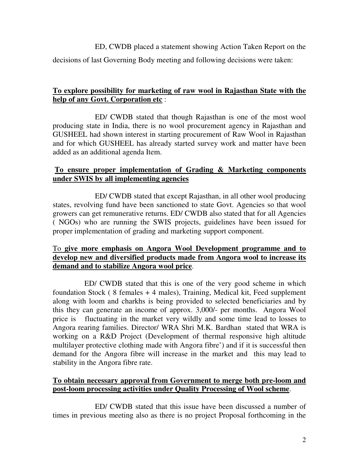ED, CWDB placed a statement showing Action Taken Report on the

decisions of last Governing Body meeting and following decisions were taken:

## **To explore possibility for marketing of raw wool in Rajasthan State with the help of any Govt. Corporation etc** :

 ED/ CWDB stated that though Rajasthan is one of the most wool producing state in India, there is no wool procurement agency in Rajasthan and GUSHEEL had shown interest in starting procurement of Raw Wool in Rajasthan and for which GUSHEEL has already started survey work and matter have been added as an additional agenda Item.

## **To ensure proper implementation of Grading & Marketing components under SWIS by all implementing agencies**

 ED/ CWDB stated that except Rajasthan, in all other wool producing states, revolving fund have been sanctioned to state Govt. Agencies so that wool growers can get remunerative returns. ED/ CWDB also stated that for all Agencies ( NGOs) who are running the SWIS projects, guidelines have been issued for proper implementation of grading and marketing support component.

## To **give more emphasis on Angora Wool Development programme and to develop new and diversified products made from Angora wool to increase its demand and to stabilize Angora wool price**.

ED/ CWDB stated that this is one of the very good scheme in which foundation Stock ( 8 females + 4 males), Training, Medical kit, Feed supplement along with loom and charkhs is being provided to selected beneficiaries and by this they can generate an income of approx. 3,000/- per months. Angora Wool price is fluctuating in the market very wildly and some time lead to losses to Angora rearing families. Director/ WRA Shri M.K. Bardhan stated that WRA is working on a R&D Project (Development of thermal responsive high altitude multilayer protective clothing made with Angora fibre') and if it is successful then demand for the Angora fibre will increase in the market and this may lead to stability in the Angora fibre rate.

## **To obtain necessary approval from Government to merge both pre-loom and post-loom processing activities under Quality Processing of Wool scheme**.

 ED/ CWDB stated that this issue have been discussed a number of times in previous meeting also as there is no project Proposal forthcoming in the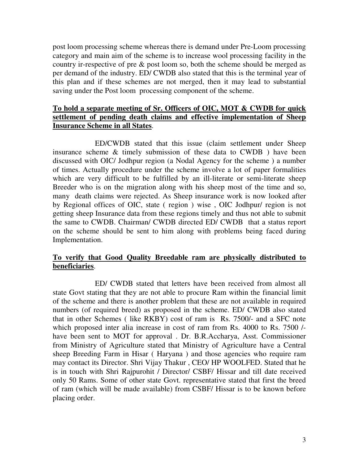post loom processing scheme whereas there is demand under Pre-Loom processing category and main aim of the scheme is to increase wool processing facility in the country ir-respective of pre & post loom so, both the scheme should be merged as per demand of the industry. ED/ CWDB also stated that this is the terminal year of this plan and if these schemes are not merged, then it may lead to substantial saving under the Post loom processing component of the scheme.

## **To hold a separate meeting of Sr. Officers of OIC, MOT & CWDB for quick settlement of pending death claims and effective implementation of Sheep Insurance Scheme in all States**.

 ED/CWDB stated that this issue (claim settlement under Sheep insurance scheme & timely submission of these data to CWDB ) have been discussed with OIC/ Jodhpur region (a Nodal Agency for the scheme ) a number of times. Actually procedure under the scheme involve a lot of paper formalities which are very difficult to be fulfilled by an ill-literate or semi-literate sheep Breeder who is on the migration along with his sheep most of the time and so, many death claims were rejected. As Sheep insurance work is now looked after by Regional offices of OIC, state ( region ) wise , OIC Jodhpur/ region is not getting sheep Insurance data from these regions timely and thus not able to submit the same to CWDB. Chairman/ CWDB directed ED/ CWDB that a status report on the scheme should be sent to him along with problems being faced during Implementation.

#### **To verify that Good Quality Breedable ram are physically distributed to beneficiaries**.

 ED/ CWDB stated that letters have been received from almost all state Govt stating that they are not able to procure Ram within the financial limit of the scheme and there is another problem that these are not available in required numbers (of required breed) as proposed in the scheme. ED/ CWDB also stated that in other Schemes ( like RKBY) cost of ram is Rs. 7500/- and a SFC note which proposed inter alia increase in cost of ram from Rs. 4000 to Rs. 7500 / have been sent to MOT for approval . Dr. B.R.Accharya, Asst. Commissioner from Ministry of Agriculture stated that Ministry of Agriculture have a Central sheep Breeding Farm in Hisar ( Haryana ) and those agencies who require ram may contact its Director. Shri Vijay Thakur , CEO/ HP WOOLFED. Stated that he is in touch with Shri Rajpurohit / Director/ CSBF/ Hissar and till date received only 50 Rams. Some of other state Govt. representative stated that first the breed of ram (which will be made available) from CSBF/ Hissar is to be known before placing order.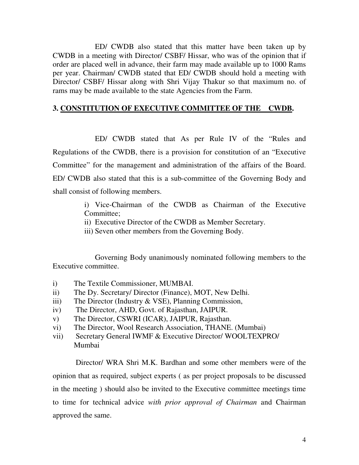ED/ CWDB also stated that this matter have been taken up by CWDB in a meeting with Director/ CSBF/ Hissar, who was of the opinion that if order are placed well in advance, their farm may made available up to 1000 Rams per year. Chairman/ CWDB stated that ED/ CWDB should hold a meeting with Director/ CSBF/ Hissar along with Shri Vijay Thakur so that maximum no. of rams may be made available to the state Agencies from the Farm.

#### **3. CONSTITUTION OF EXECUTIVE COMMITTEE OF THE CWDB.**

 ED/ CWDB stated that As per Rule IV of the "Rules and Regulations of the CWDB, there is a provision for constitution of an "Executive Committee" for the management and administration of the affairs of the Board. ED/ CWDB also stated that this is a sub-committee of the Governing Body and shall consist of following members.

> i) Vice-Chairman of the CWDB as Chairman of the Executive Committee;

ii) Executive Director of the CWDB as Member Secretary.

iii) Seven other members from the Governing Body.

 Governing Body unanimously nominated following members to the Executive committee.

- i) The Textile Commissioner, MUMBAI.
- ii) The Dy. Secretary/ Director (Finance), MOT, New Delhi.
- iii) The Director (Industry & VSE), Planning Commission,
- iv) The Director, AHD, Govt. of Rajasthan, JAIPUR.
- v) The Director, CSWRI (ICAR), JAIPUR, Rajasthan.
- vi) The Director, Wool Research Association, THANE. (Mumbai)
- vii) Secretary General IWMF & Executive Director/ WOOLTEXPRO/ Mumbai

 Director/ WRA Shri M.K. Bardhan and some other members were of the opinion that as required, subject experts ( as per project proposals to be discussed in the meeting ) should also be invited to the Executive committee meetings time to time for technical advice *with prior approval of Chairman* and Chairman approved the same.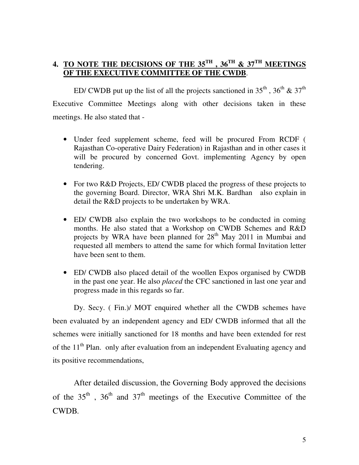# **4. TO NOTE THE DECISIONS OF THE 35TH , 36TH & 37TH MEETINGS OF THE EXECUTIVE COMMITTEE OF THE CWDB**.

ED/ CWDB put up the list of all the projects sanctioned in  $35^{th}$ ,  $36^{th}$  &  $37^{th}$ Executive Committee Meetings along with other decisions taken in these meetings. He also stated that -

- Under feed supplement scheme, feed will be procured From RCDF ( Rajasthan Co-operative Dairy Federation) in Rajasthan and in other cases it will be procured by concerned Govt. implementing Agency by open tendering.
- For two R&D Projects, ED/ CWDB placed the progress of these projects to the governing Board. Director, WRA Shri M.K. Bardhan also explain in detail the R&D projects to be undertaken by WRA.
- ED/ CWDB also explain the two workshops to be conducted in coming months. He also stated that a Workshop on CWDB Schemes and R&D projects by WRA have been planned for 28<sup>th</sup> May 2011 in Mumbai and requested all members to attend the same for which formal Invitation letter have been sent to them.
- ED/ CWDB also placed detail of the woollen Expos organised by CWDB in the past one year. He also *placed* the CFC sanctioned in last one year and progress made in this regards so far.

 Dy. Secy. ( Fin.)/ MOT enquired whether all the CWDB schemes have been evaluated by an independent agency and ED/ CWDB informed that all the schemes were initially sanctioned for 18 months and have been extended for rest of the  $11<sup>th</sup>$  Plan. only after evaluation from an independent Evaluating agency and its positive recommendations,

After detailed discussion, the Governing Body approved the decisions of the  $35<sup>th</sup>$ ,  $36<sup>th</sup>$  and  $37<sup>th</sup>$  meetings of the Executive Committee of the CWDB*.*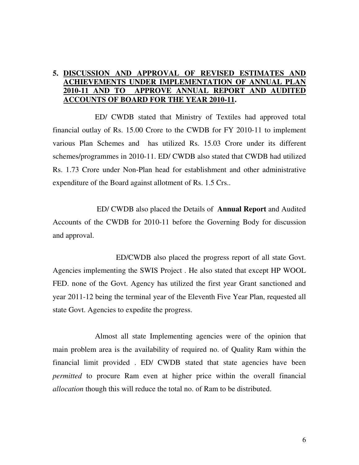#### **5. DISCUSSION AND APPROVAL OF REVISED ESTIMATES AND ACHIEVEMENTS UNDER IMPLEMENTATION OF ANNUAL PL 2010-11 AND TO APPROVE ANNUAL REPORT AND AUDITED ACCOUNTS OF BOARD FOR THE YEAR 2010-11.**

 ED/ CWDB stated that Ministry of Textiles had approved total financial outlay of Rs. 15.00 Crore to the CWDB for FY 2010-11 to implement various Plan Schemes and has utilized Rs. 15.03 Crore under its different schemes/programmes in 2010-11. ED/ CWDB also stated that CWDB had utilized Rs. 1.73 Crore under Non-Plan head for establishment and other administrative expenditure of the Board against allotment of Rs. 1.5 Crs..

 ED/ CWDB also placed the Details of **Annual Report** and Audited Accounts of the CWDB for 2010-11 before the Governing Body for discussion and approval.

 ED/CWDB also placed the progress report of all state Govt. Agencies implementing the SWIS Project . He also stated that except HP WOOL FED. none of the Govt. Agency has utilized the first year Grant sanctioned and year 2011-12 being the terminal year of the Eleventh Five Year Plan, requested all state Govt. Agencies to expedite the progress.

 Almost all state Implementing agencies were of the opinion that main problem area is the availability of required no. of Quality Ram within the financial limit provided . ED/ CWDB stated that state agencies have been *permitted* to procure Ram even at higher price within the overall financial *allocation* though this will reduce the total no. of Ram to be distributed.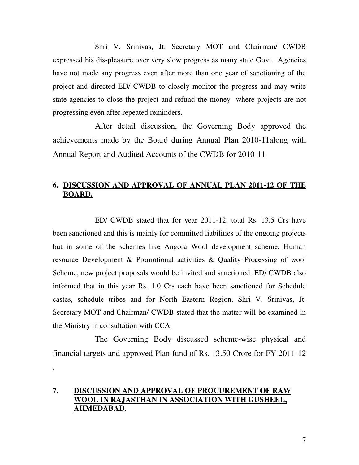Shri V. Srinivas, Jt. Secretary MOT and Chairman/ CWDB expressed his dis-pleasure over very slow progress as many state Govt. Agencies have not made any progress even after more than one year of sanctioning of the project and directed ED/ CWDB to closely monitor the progress and may write state agencies to close the project and refund the money where projects are not progressing even after repeated reminders.

After detail discussion, the Governing Body approved the achievements made by the Board during Annual Plan 2010-11along with Annual Report and Audited Accounts of the CWDB for 2010-11*.* 

# **6. DISCUSSION AND APPROVAL OF ANNUAL PLAN 2011-12 OF THE BOARD.**

 ED/ CWDB stated that for year 2011-12, total Rs. 13.5 Crs have been sanctioned and this is mainly for committed liabilities of the ongoing projects but in some of the schemes like Angora Wool development scheme, Human resource Development & Promotional activities & Quality Processing of wool Scheme, new project proposals would be invited and sanctioned. ED/ CWDB also informed that in this year Rs. 1.0 Crs each have been sanctioned for Schedule castes, schedule tribes and for North Eastern Region. Shri V. Srinivas, Jt. Secretary MOT and Chairman/ CWDB stated that the matter will be examined in the Ministry in consultation with CCA.

The Governing Body discussed scheme-wise physical and financial targets and approved Plan fund of Rs. 13.50 Crore for FY 2011-12

# **7. DISCUSSION AND APPROVAL OF PROCUREMENT OF RAW WOOL IN RAJASTHAN IN ASSOCIATION WITH GUSHEEL, AHMEDABAD.**

.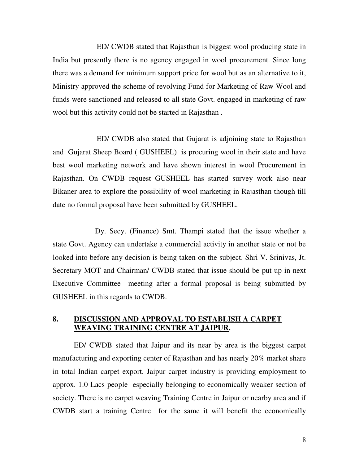ED/ CWDB stated that Rajasthan is biggest wool producing state in India but presently there is no agency engaged in wool procurement. Since long there was a demand for minimum support price for wool but as an alternative to it, Ministry approved the scheme of revolving Fund for Marketing of Raw Wool and funds were sanctioned and released to all state Govt. engaged in marketing of raw wool but this activity could not be started in Rajasthan .

 ED/ CWDB also stated that Gujarat is adjoining state to Rajasthan and Gujarat Sheep Board ( GUSHEEL) is procuring wool in their state and have best wool marketing network and have shown interest in wool Procurement in Rajasthan. On CWDB request GUSHEEL has started survey work also near Bikaner area to explore the possibility of wool marketing in Rajasthan though till date no formal proposal have been submitted by GUSHEEL.

 Dy. Secy. (Finance) Smt. Thampi stated that the issue whether a state Govt. Agency can undertake a commercial activity in another state or not be looked into before any decision is being taken on the subject. Shri V. Srinivas, Jt. Secretary MOT and Chairman/ CWDB stated that issue should be put up in next Executive Committee meeting after a formal proposal is being submitted by GUSHEEL in this regards to CWDB.

## **8. DISCUSSION AND APPROVAL TO ESTABLISH A CARPET WEAVING TRAINING CENTRE AT JAIPUR.**

ED/ CWDB stated that Jaipur and its near by area is the biggest carpet manufacturing and exporting center of Rajasthan and has nearly 20% market share in total Indian carpet export. Jaipur carpet industry is providing employment to approx. 1.0 Lacs people especially belonging to economically weaker section of society. There is no carpet weaving Training Centre in Jaipur or nearby area and if CWDB start a training Centre for the same it will benefit the economically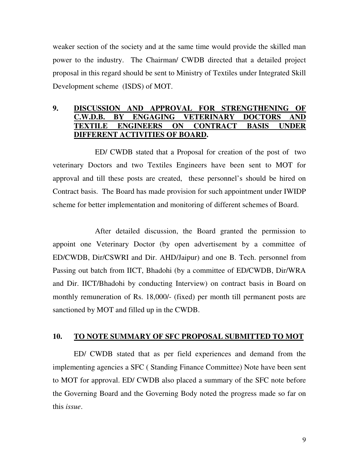weaker section of the society and at the same time would provide the skilled man power to the industry. The Chairman/ CWDB directed that a detailed project proposal in this regard should be sent to Ministry of Textiles under Integrated Skill Development scheme (ISDS) of MOT.

## **9. DISCUSSION AND APPROVAL FOR STRENGTHENING OF C.W.D.B. BY ENGAGING VETERINARY DOCTORS AND TEXTILE ENGINEERS ON CONTRACT BASIS UNDER DIFFERENT ACTIVITIES OF BOARD.**

 ED/ CWDB stated that a Proposal for creation of the post of two veterinary Doctors and two Textiles Engineers have been sent to MOT for approval and till these posts are created, these personnel's should be hired on Contract basis. The Board has made provision for such appointment under IWIDP scheme for better implementation and monitoring of different schemes of Board.

 After detailed discussion, the Board granted the permission to appoint one Veterinary Doctor (by open advertisement by a committee of ED/CWDB, Dir/CSWRI and Dir. AHD/Jaipur) and one B. Tech. personnel from Passing out batch from IICT, Bhadohi (by a committee of ED/CWDB, Dir/WRA and Dir. IICT/Bhadohi by conducting Interview) on contract basis in Board on monthly remuneration of Rs. 18,000/- (fixed) per month till permanent posts are sanctioned by MOT and filled up in the CWDB.

#### **10. TO NOTE SUMMARY OF SFC PROPOSAL SUBMITTED TO MOT**

 ED/ CWDB stated that as per field experiences and demand from the implementing agencies a SFC ( Standing Finance Committee) Note have been sent to MOT for approval. ED/ CWDB also placed a summary of the SFC note before the Governing Board and the Governing Body noted the progress made so far on this *issue*.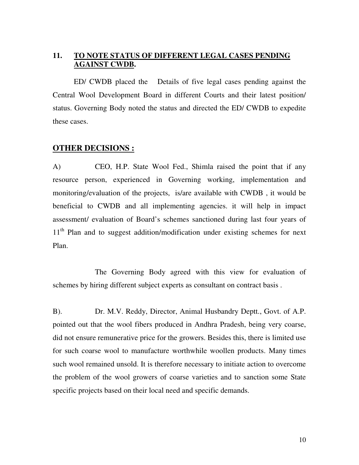## **11. TO NOTE STATUS OF DIFFERENT LEGAL CASES PENDING AGAINST CWDB.**

 ED/ CWDB placed the Details of five legal cases pending against the Central Wool Development Board in different Courts and their latest position/ status. Governing Body noted the status and directed the ED/ CWDB to expedite these cases.

#### **OTHER DECISIONS :**

A) CEO, H.P. State Wool Fed., Shimla raised the point that if any resource person, experienced in Governing working, implementation and monitoring/evaluation of the projects, is/are available with CWDB , it would be beneficial to CWDB and all implementing agencies. it will help in impact assessment/ evaluation of Board's schemes sanctioned during last four years of 11<sup>th</sup> Plan and to suggest addition/modification under existing schemes for next Plan.

 The Governing Body agreed with this view for evaluation of schemes by hiring different subject experts as consultant on contract basis .

B). Dr. M.V. Reddy, Director, Animal Husbandry Deptt., Govt. of A.P. pointed out that the wool fibers produced in Andhra Pradesh, being very coarse, did not ensure remunerative price for the growers. Besides this, there is limited use for such coarse wool to manufacture worthwhile woollen products. Many times such wool remained unsold. It is therefore necessary to initiate action to overcome the problem of the wool growers of coarse varieties and to sanction some State specific projects based on their local need and specific demands.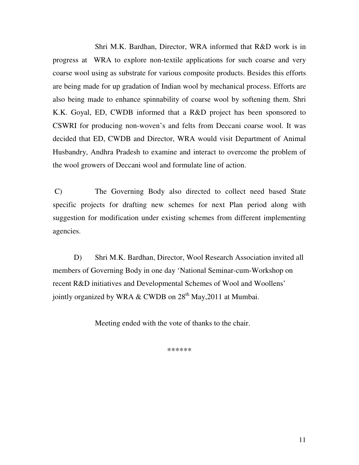Shri M.K. Bardhan, Director, WRA informed that R&D work is in progress at WRA to explore non-textile applications for such coarse and very coarse wool using as substrate for various composite products. Besides this efforts are being made for up gradation of Indian wool by mechanical process. Efforts are also being made to enhance spinnability of coarse wool by softening them. Shri K.K. Goyal, ED, CWDB informed that a R&D project has been sponsored to CSWRI for producing non-woven's and felts from Deccani coarse wool. It was decided that ED, CWDB and Director, WRA would visit Department of Animal Husbandry, Andhra Pradesh to examine and interact to overcome the problem of the wool growers of Deccani wool and formulate line of action.

 C) The Governing Body also directed to collect need based State specific projects for drafting new schemes for next Plan period along with suggestion for modification under existing schemes from different implementing agencies.

 D) Shri M.K. Bardhan, Director, Wool Research Association invited all members of Governing Body in one day 'National Seminar-cum-Workshop on recent R&D initiatives and Developmental Schemes of Wool and Woollens' jointly organized by WRA & CWDB on  $28<sup>th</sup>$  May, 2011 at Mumbai.

Meeting ended with the vote of thanks to the chair.

\*\*\*\*\*\*